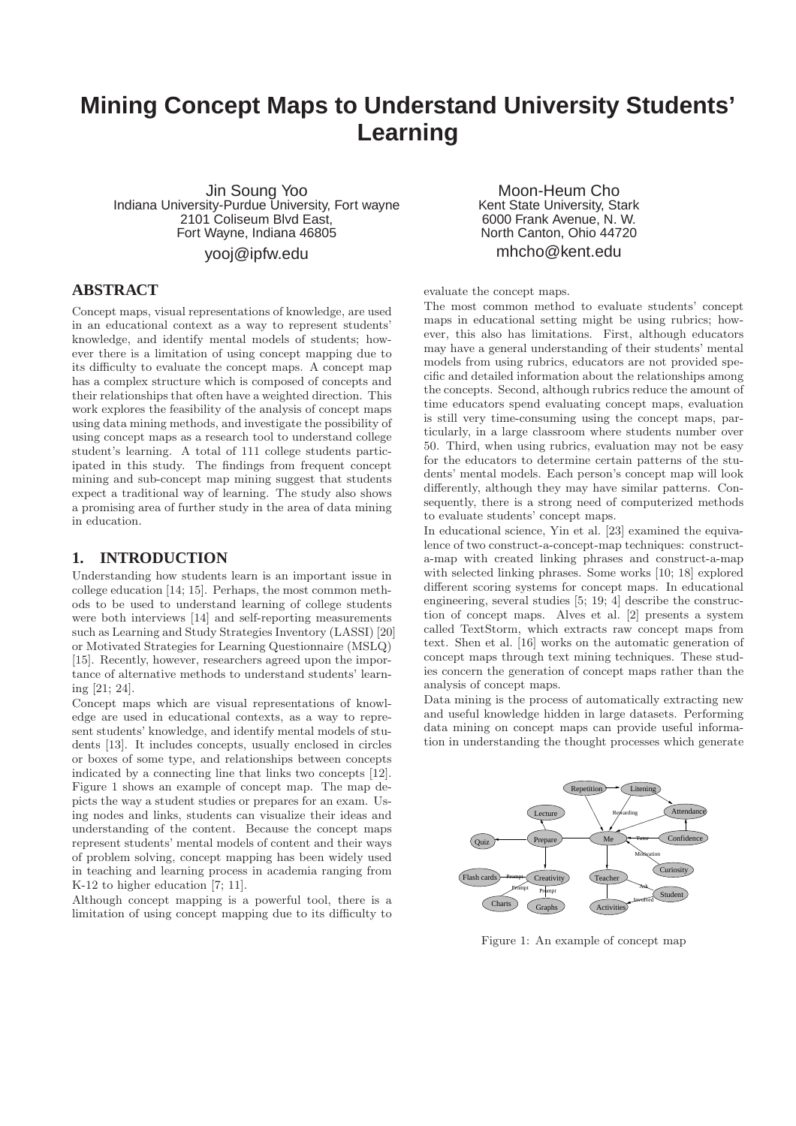# **Mining Concept Maps to Understand University Students' Learning**

Jin Soung Yoo Indiana University-Purdue University, Fort wayne 2101 Coliseum Blvd East, Fort Wayne, Indiana 46805

yooj@ipfw.edu

### **ABSTRACT**

Concept maps, visual representations of knowledge, are used in an educational context as a way to represent students' knowledge, and identify mental models of students; however there is a limitation of using concept mapping due to its difficulty to evaluate the concept maps. A concept map has a complex structure which is composed of concepts and their relationships that often have a weighted direction. This work explores the feasibility of the analysis of concept maps using data mining methods, and investigate the possibility of using concept maps as a research tool to understand college student's learning. A total of 111 college students participated in this study. The findings from frequent concept mining and sub-concept map mining suggest that students expect a traditional way of learning. The study also shows a promising area of further study in the area of data mining in education.

### **1. INTRODUCTION**

Understanding how students learn is an important issue in college education [14; 15]. Perhaps, the most common methods to be used to understand learning of college students were both interviews [14] and self-reporting measurements such as Learning and Study Strategies Inventory (LASSI) [20] or Motivated Strategies for Learning Questionnaire (MSLQ) [15]. Recently, however, researchers agreed upon the importance of alternative methods to understand students' learning [21; 24].

Concept maps which are visual representations of knowledge are used in educational contexts, as a way to represent students' knowledge, and identify mental models of students [13]. It includes concepts, usually enclosed in circles or boxes of some type, and relationships between concepts indicated by a connecting line that links two concepts [12]. Figure 1 shows an example of concept map. The map depicts the way a student studies or prepares for an exam. Using nodes and links, students can visualize their ideas and understanding of the content. Because the concept maps represent students' mental models of content and their ways of problem solving, concept mapping has been widely used in teaching and learning process in academia ranging from K-12 to higher education [7; 11].

Although concept mapping is a powerful tool, there is a limitation of using concept mapping due to its difficulty to

Moon-Heum Cho Kent State University, Stark 6000 Frank Avenue, N. W. North Canton, Ohio 44720 mhcho@kent.edu

#### evaluate the concept maps.

The most common method to evaluate students' concept maps in educational setting might be using rubrics; however, this also has limitations. First, although educators may have a general understanding of their students' mental models from using rubrics, educators are not provided specific and detailed information about the relationships among the concepts. Second, although rubrics reduce the amount of time educators spend evaluating concept maps, evaluation is still very time-consuming using the concept maps, particularly, in a large classroom where students number over 50. Third, when using rubrics, evaluation may not be easy for the educators to determine certain patterns of the students' mental models. Each person's concept map will look differently, although they may have similar patterns. Consequently, there is a strong need of computerized methods to evaluate students' concept maps.

In educational science, Yin et al. [23] examined the equivalence of two construct-a-concept-map techniques: constructa-map with created linking phrases and construct-a-map with selected linking phrases. Some works [10; 18] explored different scoring systems for concept maps. In educational engineering, several studies [5; 19; 4] describe the construction of concept maps. Alves et al. [2] presents a system called TextStorm, which extracts raw concept maps from text. Shen et al. [16] works on the automatic generation of concept maps through text mining techniques. These studies concern the generation of concept maps rather than the analysis of concept maps.

Data mining is the process of automatically extracting new and useful knowledge hidden in large datasets. Performing data mining on concept maps can provide useful information in understanding the thought processes which generate



Figure 1: An example of concept map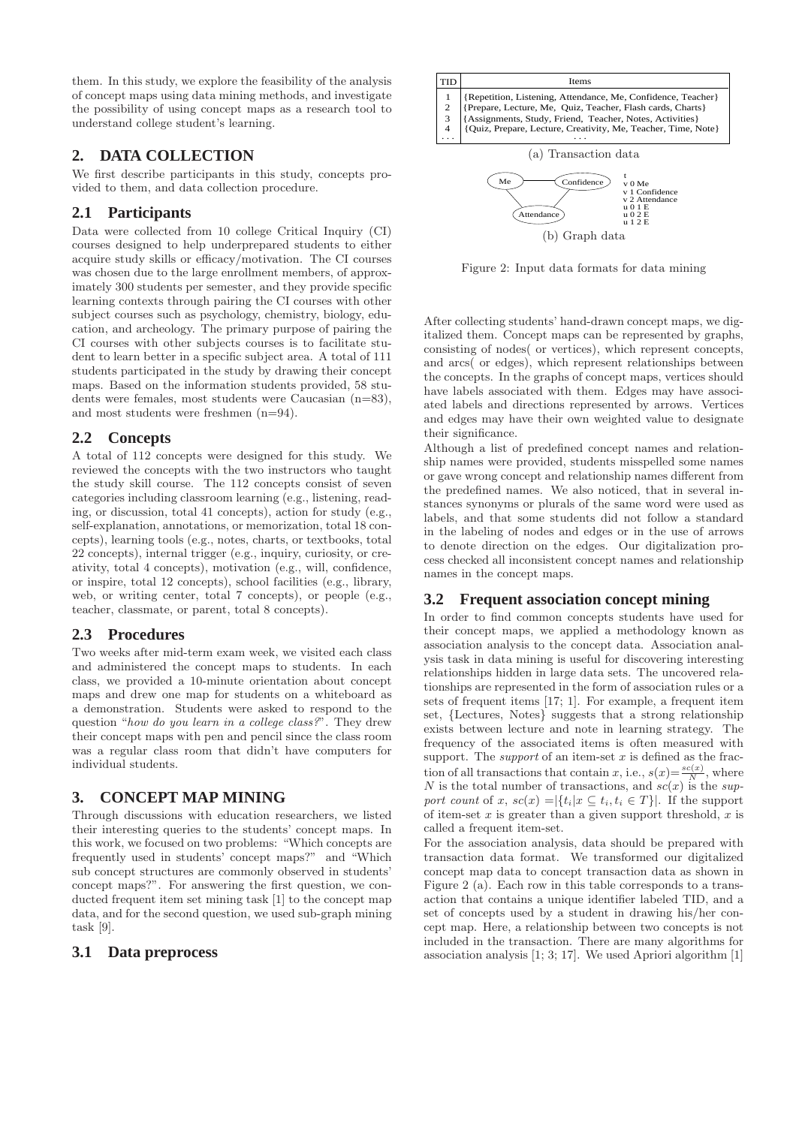them. In this study, we explore the feasibility of the analysis of concept maps using data mining methods, and investigate the possibility of using concept maps as a research tool to understand college student's learning.

## **2. DATA COLLECTION**

We first describe participants in this study, concepts provided to them, and data collection procedure.

### **2.1 Participants**

Data were collected from 10 college Critical Inquiry (CI) courses designed to help underprepared students to either acquire study skills or efficacy/motivation. The CI courses was chosen due to the large enrollment members, of approximately 300 students per semester, and they provide specific learning contexts through pairing the CI courses with other subject courses such as psychology, chemistry, biology, education, and archeology. The primary purpose of pairing the CI courses with other subjects courses is to facilitate student to learn better in a specific subject area. A total of 111 students participated in the study by drawing their concept maps. Based on the information students provided, 58 students were females, most students were Caucasian (n=83), and most students were freshmen (n=94).

### **2.2 Concepts**

A total of 112 concepts were designed for this study. We reviewed the concepts with the two instructors who taught the study skill course. The 112 concepts consist of seven categories including classroom learning (e.g., listening, reading, or discussion, total 41 concepts), action for study (e.g., self-explanation, annotations, or memorization, total 18 concepts), learning tools (e.g., notes, charts, or textbooks, total 22 concepts), internal trigger (e.g., inquiry, curiosity, or creativity, total 4 concepts), motivation (e.g., will, confidence, or inspire, total 12 concepts), school facilities (e.g., library, web, or writing center, total 7 concepts), or people (e.g., teacher, classmate, or parent, total 8 concepts).

### **2.3 Procedures**

Two weeks after mid-term exam week, we visited each class and administered the concept maps to students. In each class, we provided a 10-minute orientation about concept maps and drew one map for students on a whiteboard as a demonstration. Students were asked to respond to the question "how do you learn in a college class?". They drew their concept maps with pen and pencil since the class room was a regular class room that didn't have computers for individual students.

# **3. CONCEPT MAP MINING**

Through discussions with education researchers, we listed their interesting queries to the students' concept maps. In this work, we focused on two problems: "Which concepts are frequently used in students' concept maps?" and "Which sub concept structures are commonly observed in students' concept maps?". For answering the first question, we conducted frequent item set mining task [1] to the concept map data, and for the second question, we used sub-graph mining task [9].

### **3.1 Data preprocess**



Figure 2: Input data formats for data mining

After collecting students' hand-drawn concept maps, we digitalized them. Concept maps can be represented by graphs, consisting of nodes( or vertices), which represent concepts, and arcs( or edges), which represent relationships between the concepts. In the graphs of concept maps, vertices should have labels associated with them. Edges may have associated labels and directions represented by arrows. Vertices and edges may have their own weighted value to designate their significance.

Although a list of predefined concept names and relationship names were provided, students misspelled some names or gave wrong concept and relationship names different from the predefined names. We also noticed, that in several instances synonyms or plurals of the same word were used as labels, and that some students did not follow a standard in the labeling of nodes and edges or in the use of arrows to denote direction on the edges. Our digitalization process checked all inconsistent concept names and relationship names in the concept maps.

### **3.2 Frequent association concept mining**

In order to find common concepts students have used for their concept maps, we applied a methodology known as association analysis to the concept data. Association analysis task in data mining is useful for discovering interesting relationships hidden in large data sets. The uncovered relationships are represented in the form of association rules or a sets of frequent items [17; 1]. For example, a frequent item set, {Lectures, Notes} suggests that a strong relationship exists between lecture and note in learning strategy. The frequency of the associated items is often measured with support. The *support* of an item-set  $x$  is defined as the fraction of all transactions that contain x, i.e.,  $s(x) = \frac{sc(x)}{N}$ , where N is the total number of transactions, and  $\hat{sc}(x)$  is the support count of x,  $sc(x) = |\{t_i | x \subseteq t_i, t_i \in T\}|$ . If the support of item-set  $x$  is greater than a given support threshold,  $x$  is called a frequent item-set.

For the association analysis, data should be prepared with transaction data format. We transformed our digitalized concept map data to concept transaction data as shown in Figure 2 (a). Each row in this table corresponds to a transaction that contains a unique identifier labeled TID, and a set of concepts used by a student in drawing his/her concept map. Here, a relationship between two concepts is not included in the transaction. There are many algorithms for association analysis [1; 3; 17]. We used Apriori algorithm [1]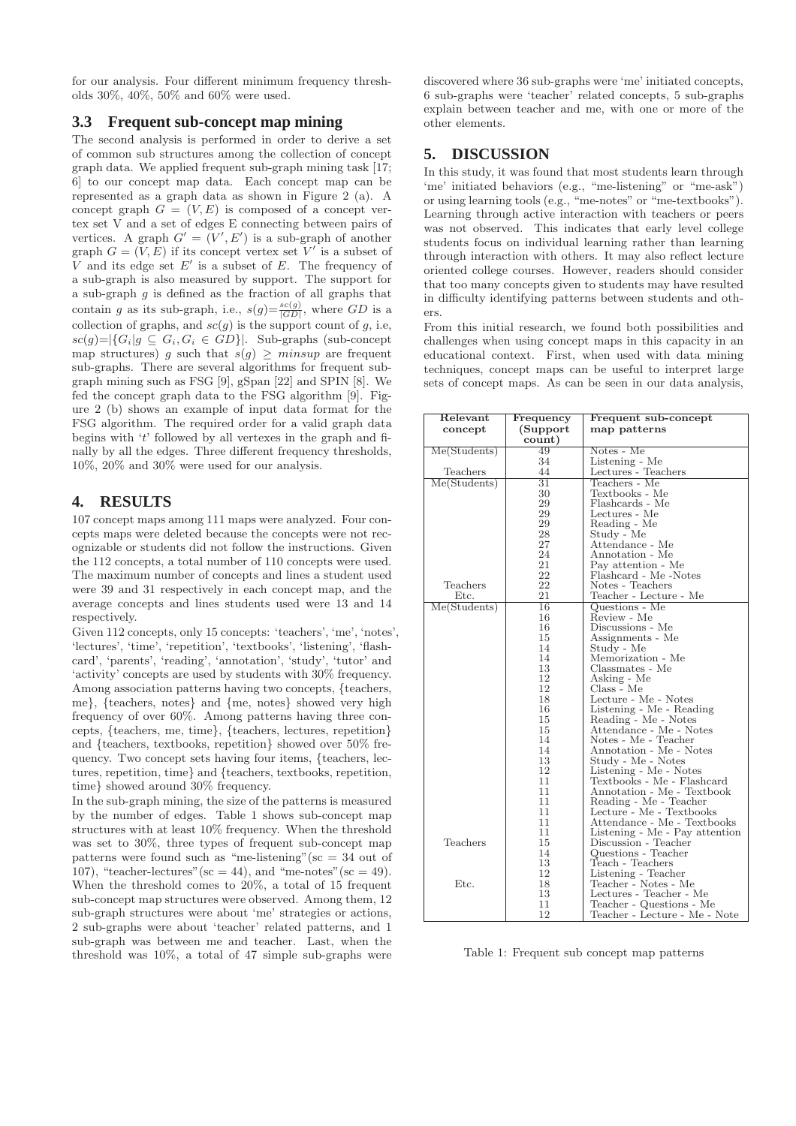for our analysis. Four different minimum frequency thresholds 30%, 40%, 50% and 60% were used.

### **3.3 Frequent sub-concept map mining**

The second analysis is performed in order to derive a set of common sub structures among the collection of concept graph data. We applied frequent sub-graph mining task [17; 6] to our concept map data. Each concept map can be represented as a graph data as shown in Figure 2 (a). A concept graph  $G = (V, E)$  is composed of a concept vertex set V and a set of edges E connecting between pairs of vertices. A graph  $G' = (V', E')$  is a sub-graph of another graph  $G = (V, E)$  if its concept vertex set V' is a subset of V and its edge set  $E'$  is a subset of  $E$ . The frequency of a sub-graph is also measured by support. The support for a sub-graph  $g$  is defined as the fraction of all graphs that contain g as its sub-graph, i.e.,  $s(g) = \frac{s c(g)}{|GD|}$ , where GD is a collection of graphs, and  $sc(g)$  is the support count of g, i.e,  $\textit{sc}(g) = |\{G_i | g \subseteq G_i, G_i \in GD\}|$ . Sub-graphs (sub-concept map structures) g such that  $s(g) \geq minsup$  are frequent sub-graphs. There are several algorithms for frequent subgraph mining such as FSG [9], gSpan [22] and SPIN [8]. We fed the concept graph data to the FSG algorithm [9]. Figure 2 (b) shows an example of input data format for the FSG algorithm. The required order for a valid graph data begins with 't' followed by all vertexes in the graph and finally by all the edges. Three different frequency thresholds, 10%, 20% and 30% were used for our analysis.

### **4. RESULTS**

107 concept maps among 111 maps were analyzed. Four concepts maps were deleted because the concepts were not recognizable or students did not follow the instructions. Given the 112 concepts, a total number of 110 concepts were used. The maximum number of concepts and lines a student used were 39 and 31 respectively in each concept map, and the average concepts and lines students used were 13 and 14 respectively.

Given 112 concepts, only 15 concepts: 'teachers', 'me', 'notes', 'lectures', 'time', 'repetition', 'textbooks', 'listening', 'flashcard', 'parents', 'reading', 'annotation', 'study', 'tutor' and 'activity' concepts are used by students with 30% frequency. Among association patterns having two concepts, {teachers, me}, {teachers, notes} and {me, notes} showed very high frequency of over 60%. Among patterns having three concepts, {teachers, me, time}, {teachers, lectures, repetition} and {teachers, textbooks, repetition} showed over 50% frequency. Two concept sets having four items, {teachers, lectures, repetition, time} and {teachers, textbooks, repetition, time} showed around 30% frequency.

In the sub-graph mining, the size of the patterns is measured by the number of edges. Table 1 shows sub-concept map structures with at least 10% frequency. When the threshold was set to 30%, three types of frequent sub-concept map patterns were found such as "me-listening" ( $\mathrm{sc} = 34$  out of 107), "teacher-lectures" (sc = 44), and "me-notes" (sc = 49). When the threshold comes to 20%, a total of 15 frequent sub-concept map structures were observed. Among them, 12 sub-graph structures were about 'me' strategies or actions, 2 sub-graphs were about 'teacher' related patterns, and 1 sub-graph was between me and teacher. Last, when the threshold was 10%, a total of 47 simple sub-graphs were discovered where 36 sub-graphs were 'me' initiated concepts, 6 sub-graphs were 'teacher' related concepts, 5 sub-graphs explain between teacher and me, with one or more of the other elements.

### **5. DISCUSSION**

In this study, it was found that most students learn through 'me' initiated behaviors (e.g., "me-listening" or "me-ask") or using learning tools (e.g., "me-notes" or "me-textbooks"). Learning through active interaction with teachers or peers was not observed. This indicates that early level college students focus on individual learning rather than learning through interaction with others. It may also reflect lecture oriented college courses. However, readers should consider that too many concepts given to students may have resulted in difficulty identifying patterns between students and others.

From this initial research, we found both possibilities and challenges when using concept maps in this capacity in an educational context. First, when used with data mining techniques, concept maps can be useful to interpret large sets of concept maps. As can be seen in our data analysis,

| Relevant     | Frequency       | Frequent sub-concept           |
|--------------|-----------------|--------------------------------|
| concept      | (Support)       | map patterns                   |
|              | count)          |                                |
| Me(Students) | 49              | Notes - Me                     |
|              | 34              | Listening - Me                 |
| Teachers     | 44              | Lectures - Teachers            |
| Me(Students) | $\overline{31}$ | Teachers - Me                  |
|              | 30              | Textbooks - Me                 |
|              | 29              | Flashcards - Me                |
|              | 29              | Lectures - Me                  |
|              | 29              | Reading - Me                   |
|              | 28              | Study - Me                     |
|              | 27              | Attendance - Me                |
|              | 24              | Annotation - Me                |
|              | 21              | Pay attention - Me             |
|              | 22              | Flashcard - Me -Notes          |
| Teachers     | 22              | Notes - Teachers               |
| Etc.         | 21              | Teacher - Lecture - Me         |
| Me(Students) | 16              | Questions - Me                 |
|              | 16              | Review - Me                    |
|              | 16              | Discussions - Me               |
|              | 15              | Assignments - Me               |
|              | 14              | Study - Me                     |
|              | 14              | Memorization - Me              |
|              | 13              | Classmates - Me                |
|              | 12              | Asking - Me                    |
|              | 12              | Class - Me                     |
|              | 18              | Lecture - Me - Notes           |
|              | 16              | Listening - Me - Reading       |
|              | 15              | Reading - Me - Notes           |
|              | 15              | Attendance - Me - Notes        |
|              | 14              | Notes - Me - Teacher           |
|              | 14              | Annotation - Me - Notes        |
|              | 13              | Study - Me - Notes             |
|              | 12              | Listening - Me - Notes         |
|              | 11              | Textbooks - Me - Flashcard     |
|              | 11              | Annotation - Me - Textbook     |
|              | 11              | Reading - Me - Teacher         |
|              | 11              | Lecture - Me - Textbooks       |
|              | 11              | Attendance - Me - Textbooks    |
|              | 11              | Listening - Me - Pay attention |
| Teachers     | 15              | Discussion - Teacher           |
|              | 14              | Questions - Teacher            |
|              | 13              | Teach - Teachers               |
|              | 12              | Listening - Teacher            |
| Etc.         | 18              | Teacher - Notes - Me           |
|              | 13              | Lectures - Teacher - Me        |
|              | 11              | Teacher - Questions - Me       |
|              | 12              | Teacher - Lecture - Me - Note  |
|              |                 |                                |

Table 1: Frequent sub concept map patterns